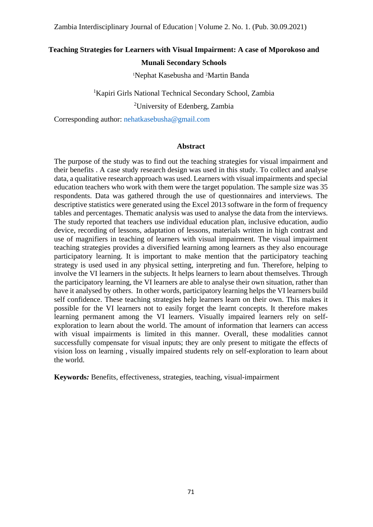# **Teaching Strategies for Learners with Visual Impairment: A case of Mporokoso and**

## **Munali Secondary Schools**

<sup>1</sup>Nephat Kasebusha and 2Martin Banda

<sup>1</sup>Kapiri Girls National Technical Secondary School, Zambia

<sup>2</sup>University of Edenberg, Zambia

Corresponding author: [nehatkasebusha@gmail.com](mailto:nehatkasebusha@gmail.com)

### **Abstract**

The purpose of the study was to find out the teaching strategies for visual impairment and their benefits . A case study research design was used in this study. To collect and analyse data, a qualitative research approach was used. Learners with visual impairments and special education teachers who work with them were the target population. The sample size was 35 respondents. Data was gathered through the use of questionnaires and interviews. The descriptive statistics were generated using the Excel 2013 software in the form of frequency tables and percentages. Thematic analysis was used to analyse the data from the interviews. The study reported that teachers use individual education plan, inclusive education, audio device, recording of lessons, adaptation of lessons, materials written in high contrast and use of magnifiers in teaching of learners with visual impairment. The visual impairment teaching strategies provides a diversified learning among learners as they also encourage participatory learning. It is important to make mention that the participatory teaching strategy is used used in any physical setting, interpreting and fun. Therefore, helping to involve the VI learners in the subjects. It helps learners to learn about themselves. Through the participatory learning, the VI learners are able to analyse their own situation, rather than have it analysed by others. In other words, participatory learning helps the VI learners build self confidence. These teaching strategies help learners learn on their own. This makes it possible for the VI learners not to easily forget the learnt concepts. It therefore makes learning permanent among the VI learners. Visually impaired learners rely on selfexploration to learn about the world. The amount of information that learners can access with visual impairments is limited in this manner. Overall, these modalities cannot successfully compensate for visual inputs; they are only present to mitigate the effects of vision loss on learning , visually impaired students rely on self-exploration to learn about the world.

**Keywords***:* Benefits, effectiveness, strategies, teaching, visual-impairment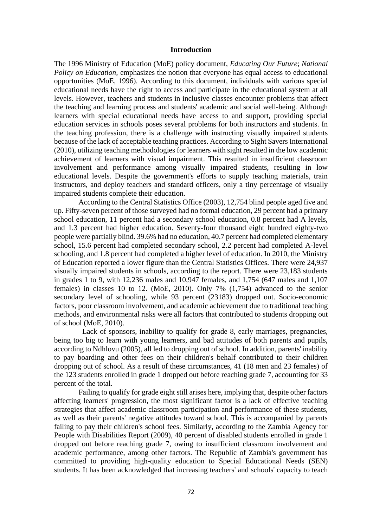### **Introduction**

The 1996 Ministry of Education (MoE) policy document, *Educating Our Future*; *National Policy on Education,* emphasizes the notion that everyone has equal access to educational opportunities (MoE, 1996). According to this document, individuals with various special educational needs have the right to access and participate in the educational system at all levels. However, teachers and students in inclusive classes encounter problems that affect the teaching and learning process and students' academic and social well-being. Although learners with special educational needs have access to and support, providing special education services in schools poses several problems for both instructors and students. In the teaching profession, there is a challenge with instructing visually impaired students because of the lack of acceptable teaching practices. According to Sight Savers International (2010), utilizing teaching methodologies for learners with sight resulted in the low academic achievement of learners with visual impairment. This resulted in insufficient classroom involvement and performance among visually impaired students, resulting in low educational levels. Despite the government's efforts to supply teaching materials, train instructors, and deploy teachers and standard officers, only a tiny percentage of visually impaired students complete their education.

 According to the Central Statistics Office (2003), 12,754 blind people aged five and up. Fifty-seven percent of those surveyed had no formal education, 29 percent had a primary school education, 11 percent had a secondary school education, 0.8 percent had A levels, and 1.3 percent had higher education. Seventy-four thousand eight hundred eighty-two people were partially blind. 39.6% had no education, 40.7 percent had completed elementary school, 15.6 percent had completed secondary school, 2.2 percent had completed A-level schooling, and 1.8 percent had completed a higher level of education. In 2010, the Ministry of Education reported a lower figure than the Central Statistics Offices. There were 24,937 visually impaired students in schools, according to the report. There were 23,183 students in grades 1 to 9, with 12,236 males and 10,947 females, and 1,754 (647 males and 1,107 females) in classes 10 to 12. (MoE, 2010). Only 7% (1,754) advanced to the senior secondary level of schooling, while 93 percent (23183) dropped out. Socio-economic factors, poor classroom involvement, and academic achievement due to traditional teaching methods, and environmental risks were all factors that contributed to students dropping out of school (MoE, 2010).

 Lack of sponsors, inability to qualify for grade 8, early marriages, pregnancies, being too big to learn with young learners, and bad attitudes of both parents and pupils, according to Ndhlovu (2005), all led to dropping out of school. In addition, parents' inability to pay boarding and other fees on their children's behalf contributed to their children dropping out of school. As a result of these circumstances, 41 (18 men and 23 females) of the 123 students enrolled in grade 1 dropped out before reaching grade 7, accounting for 33 percent of the total.

 Failing to qualify for grade eight still arises here, implying that, despite other factors affecting learners' progression, the most significant factor is a lack of effective teaching strategies that affect academic classroom participation and performance of these students, as well as their parents' negative attitudes toward school. This is accompanied by parents failing to pay their children's school fees. Similarly, according to the Zambia Agency for People with Disabilities Report (2009), 40 percent of disabled students enrolled in grade 1 dropped out before reaching grade 7, owing to insufficient classroom involvement and academic performance, among other factors. The Republic of Zambia's government has committed to providing high-quality education to Special Educational Needs (SEN) students. It has been acknowledged that increasing teachers' and schools' capacity to teach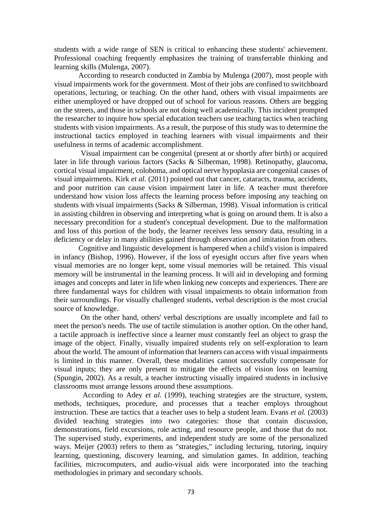students with a wide range of SEN is critical to enhancing these students' achievement. Professional coaching frequently emphasizes the training of transferrable thinking and learning skills (Mulenga, 2007).

 According to research conducted in Zambia by Mulenga (2007), most people with visual impairments work for the government. Most of their jobs are confined to switchboard operations, lecturing, or teaching. On the other hand, others with visual impairments are either unemployed or have dropped out of school for various reasons. Others are begging on the streets, and those in schools are not doing well academically. This incident prompted the researcher to inquire how special education teachers use teaching tactics when teaching students with vision impairments. As a result, the purpose of this study was to determine the instructional tactics employed in teaching learners with visual impairments and their usefulness in terms of academic accomplishment.

 Visual impairment can be congenital (present at or shortly after birth) or acquired later in life through various factors (Sacks & Silberman, 1998). Retinopathy, glaucoma, cortical visual impairment, coloboma, and optical nerve hypoplasia are congenital causes of visual impairments. Kirk *et al.* (2011) pointed out that cancer, cataracts, trauma, accidents, and poor nutrition can cause vision impairment later in life. A teacher must therefore understand how vision loss affects the learning process before imposing any teaching on students with visual impairments (Sacks & Silberman, 1998). Visual information is critical in assisting children in observing and interpreting what is going on around them. It is also a necessary precondition for a student's conceptual development. Due to the malformation and loss of this portion of the body, the learner receives less sensory data, resulting in a deficiency or delay in many abilities gained through observation and imitation from others.

 Cognitive and linguistic development is hampered when a child's vision is impaired in infancy (Bishop, 1996). However, if the loss of eyesight occurs after five years when visual memories are no longer kept, some visual memories will be retained. This visual memory will be instrumental in the learning process. It will aid in developing and forming images and concepts and later in life when linking new concepts and experiences. There are three fundamental ways for children with visual impairments to obtain information from their surroundings. For visually challenged students, verbal description is the most crucial source of knowledge.

 On the other hand, others' verbal descriptions are usually incomplete and fail to meet the person's needs. The use of tactile stimulation is another option. On the other hand, a tactile approach is ineffective since a learner must constantly feel an object to grasp the image of the object. Finally, visually impaired students rely on self-exploration to learn about the world. The amount of information that learners can access with visual impairments is limited in this manner. Overall, these modalities cannot successfully compensate for visual inputs; they are only present to mitigate the effects of vision loss on learning (Spungin, 2002). As a result, a teacher instructing visually impaired students in inclusive classrooms must arrange lessons around these assumptions.

 According to Adey *et al.* (1999), teaching strategies are the structure, system, methods, techniques, procedure, and processes that a teacher employs throughout instruction. These are tactics that a teacher uses to help a student learn. Evans *et al.* (2003) divided teaching strategies into two categories: those that contain discussion, demonstrations, field excursions, role acting, and resource people, and those that do not. The supervised study, experiments, and independent study are some of the personalized ways. Meijer (2003) refers to them as "strategies," including lecturing, tutoring, inquiry learning, questioning, discovery learning, and simulation games. In addition, teaching facilities, microcomputers, and audio-visual aids were incorporated into the teaching methodologies in primary and secondary schools.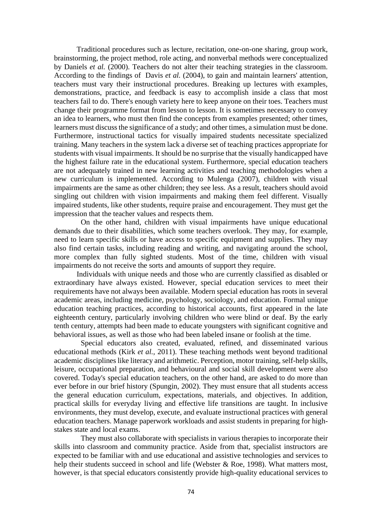Traditional procedures such as lecture, recitation, one-on-one sharing, group work, brainstorming, the project method, role acting, and nonverbal methods were conceptualized by Daniels *et al.* (2000). Teachers do not alter their teaching strategies in the classroom. According to the findings of Davis *et al.* (2004), to gain and maintain learners' attention, teachers must vary their instructional procedures. Breaking up lectures with examples, demonstrations, practice, and feedback is easy to accomplish inside a class that most teachers fail to do. There's enough variety here to keep anyone on their toes. Teachers must change their programme format from lesson to lesson. It is sometimes necessary to convey an idea to learners, who must then find the concepts from examples presented; other times, learners must discuss the significance of a study; and other times, a simulation must be done. Furthermore, instructional tactics for visually impaired students necessitate specialized training. Many teachers in the system lack a diverse set of teaching practices appropriate for students with visual impairments. It should be no surprise that the visually handicapped have the highest failure rate in the educational system. Furthermore, special education teachers are not adequately trained in new learning activities and teaching methodologies when a new curriculum is implemented. According to Mulenga (2007), children with visual impairments are the same as other children; they see less. As a result, teachers should avoid singling out children with vision impairments and making them feel different. Visually impaired students, like other students, require praise and encouragement. They must get the impression that the teacher values and respects them.

 On the other hand, children with visual impairments have unique educational demands due to their disabilities, which some teachers overlook. They may, for example, need to learn specific skills or have access to specific equipment and supplies. They may also find certain tasks, including reading and writing, and navigating around the school, more complex than fully sighted students. Most of the time, children with visual impairments do not receive the sorts and amounts of support they require.

 Individuals with unique needs and those who are currently classified as disabled or extraordinary have always existed. However, special education services to meet their requirements have not always been available. Modern special education has roots in several academic areas, including medicine, psychology, sociology, and education. Formal unique education teaching practices, according to historical accounts, first appeared in the late eighteenth century, particularly involving children who were blind or deaf. By the early tenth century, attempts had been made to educate youngsters with significant cognitive and behavioral issues, as well as those who had been labeled insane or foolish at the time.

 Special educators also created, evaluated, refined, and disseminated various educational methods (Kirk *et al.,* 2011). These teaching methods went beyond traditional academic disciplines like literacy and arithmetic. Perception, motor training, self-help skills, leisure, occupational preparation, and behavioural and social skill development were also covered. Today's special education teachers, on the other hand, are asked to do more than ever before in our brief history (Spungin, 2002). They must ensure that all students access the general education curriculum, expectations, materials, and objectives. In addition, practical skills for everyday living and effective life transitions are taught. In inclusive environments, they must develop, execute, and evaluate instructional practices with general education teachers. Manage paperwork workloads and assist students in preparing for highstakes state and local exams.

 They must also collaborate with specialists in various therapies to incorporate their skills into classroom and community practice. Aside from that, specialist instructors are expected to be familiar with and use educational and assistive technologies and services to help their students succeed in school and life (Webster & Roe, 1998). What matters most, however, is that special educators consistently provide high-quality educational services to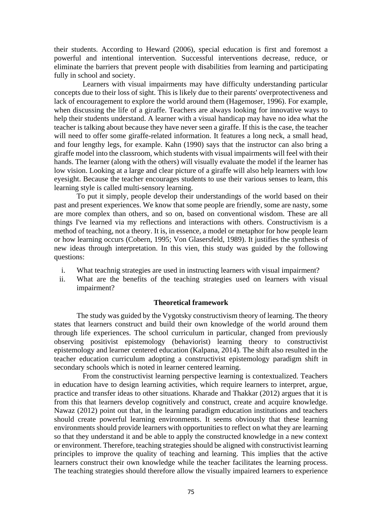their students. According to Heward (2006), special education is first and foremost a powerful and intentional intervention. Successful interventions decrease, reduce, or eliminate the barriers that prevent people with disabilities from learning and participating fully in school and society.

 Learners with visual impairments may have difficulty understanding particular concepts due to their loss of sight. This is likely due to their parents' overprotectiveness and lack of encouragement to explore the world around them (Hagemoser, 1996). For example, when discussing the life of a giraffe. Teachers are always looking for innovative ways to help their students understand. A learner with a visual handicap may have no idea what the teacher is talking about because they have never seen a giraffe. If this is the case, the teacher will need to offer some giraffe-related information. It features a long neck, a small head, and four lengthy legs, for example. Kahn (1990) says that the instructor can also bring a giraffe model into the classroom, which students with visual impairments will feel with their hands. The learner (along with the others) will visually evaluate the model if the learner has low vision. Looking at a large and clear picture of a giraffe will also help learners with low eyesight. Because the teacher encourages students to use their various senses to learn, this learning style is called multi-sensory learning.

 To put it simply, people develop their understandings of the world based on their past and present experiences. We know that some people are friendly, some are nasty, some are more complex than others, and so on, based on conventional wisdom. These are all things I've learned via my reflections and interactions with others. Constructivism is a method of teaching, not a theory. It is, in essence, a model or metaphor for how people learn or how learning occurs (Cobern, 1995; Von Glasersfeld, 1989). It justifies the synthesis of new ideas through interpretation. In this vien, this study was guided by the following questions:

- i. What teachnig strategies are used in instructing learners with visual impairment?
- ii. What are the benefits of the teaching strategies used on learners with visual impairment?

#### **Theoretical framework**

The study was guided by the Vygotsky constructivism theory of learning. The theory states that learners construct and build their own knowledge of the world around them through life experiences. The school curriculum in particular, changed from previously observing positivist epistemology (behaviorist) learning theory to constructivist epistemology and learner centered education (Kalpana, 2014). The shift also resulted in the teacher education curriculum adopting a constructivist epistemology paradigm shift in secondary schools which is noted in learner centered learning.

 From the constructivist learning perspective learning is contextualized. Teachers in education have to design learning activities, which require learners to interpret, argue, practice and transfer ideas to other situations. Kharade and Thakkar (2012) argues that it is from this that learners develop cognitively and construct, create and acquire knowledge. Nawaz (2012) point out that, in the learning paradigm education institutions and teachers should create powerful learning environments. It seems obviously that these learning environments should provide learners with opportunities to reflect on what they are learning so that they understand it and be able to apply the constructed knowledge in a new context or environment. Therefore, teaching strategies should be aligned with constructivist learning principles to improve the quality of teaching and learning. This implies that the active learners construct their own knowledge while the teacher facilitates the learning process. The teaching strategies should therefore allow the visually impaired learners to experience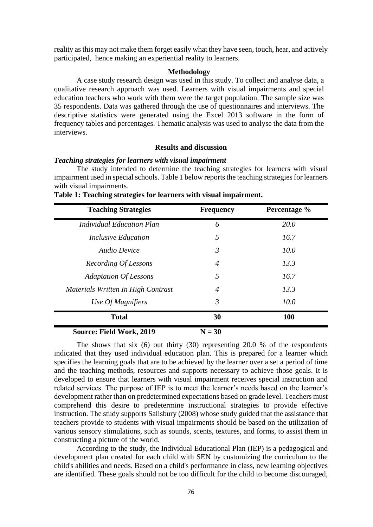reality as this may not make them forget easily what they have seen, touch, hear, and actively participated, hence making an experiential reality to learners.

# **Methodology**

A case study research design was used in this study. To collect and analyse data, a qualitative research approach was used. Learners with visual impairments and special education teachers who work with them were the target population. The sample size was 35 respondents. Data was gathered through the use of questionnaires and interviews. The descriptive statistics were generated using the Excel 2013 software in the form of frequency tables and percentages. Thematic analysis was used to analyse the data from the interviews.

# **Results and discussion**

### *Teaching strategies for learners with visual impairment*

The study intended to determine the teaching strategies for learners with visual impairment used in special schools. Table 1 below reports the teaching strategies for learners with visual impairments.

| <b>Teaching Strategies</b>         | <b>Frequency</b> | Percentage % |
|------------------------------------|------------------|--------------|
| Individual Education Plan          | 6                | 20.0         |
| <i>Inclusive Education</i>         | 5                | 16.7         |
| <b>Audio Device</b>                | 3                | 10.0         |
| Recording Of Lessons               | $\overline{4}$   | 13.3         |
| <b>Adaptation Of Lessons</b>       | 5                | 16.7         |
| Materials Written In High Contrast | $\overline{4}$   | 13.3         |
| Use Of Magnifiers                  | 3                | 10.0         |
| <b>Total</b>                       | 30               | 100          |
| Course Field Work 2010             | $N = 20$         |              |

|  |  |  |  |  | Table 1: Teaching strategies for learners with visual impairment. |  |  |  |
|--|--|--|--|--|-------------------------------------------------------------------|--|--|--|
|  |  |  |  |  |                                                                   |  |  |  |

**Source: Field Work, 2019**  $N = 30$ 

The shows that six (6) out thirty (30) representing 20.0 % of the respondents indicated that they used individual education plan. This is prepared for a learner which specifies the learning goals that are to be achieved by the learner over a set a period of time and the teaching methods, resources and supports necessary to achieve those goals. It is developed to ensure that learners with visual impairment receives special instruction and related services. The purpose of IEP is to meet the learner's needs based on the learner's development rather than on predetermined expectations based on grade level. Teachers must comprehend this desire to predetermine instructional strategies to provide effective instruction. The study supports Salisbury (2008) whose study guided that the assistance that teachers provide to students with visual impairments should be based on the utilization of various sensory stimulations, such as sounds, scents, textures, and forms, to assist them in constructing a picture of the world.

 According to the study, the Individual Educational Plan (IEP) is a pedagogical and development plan created for each child with SEN by customizing the curriculum to the child's abilities and needs. Based on a child's performance in class, new learning objectives are identified. These goals should not be too difficult for the child to become discouraged,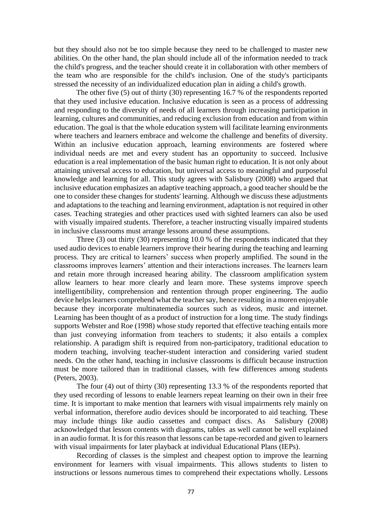but they should also not be too simple because they need to be challenged to master new abilities. On the other hand, the plan should include all of the information needed to track the child's progress, and the teacher should create it in collaboration with other members of the team who are responsible for the child's inclusion. One of the study's participants stressed the necessity of an individualized education plan in aiding a child's growth.

 The other five (5) out of thirty (30) representing 16.7 % of the respondents reported that they used inclusive education. Inclusive education is seen as a process of addressing and responding to the diversity of needs of all learners through increasing participation in learning, cultures and communities, and reducing exclusion from education and from within education. The goal is that the whole education system will facilitate learning environments where teachers and learners embrace and welcome the challenge and benefits of diversity. Within an inclusive education approach, learning environments are fostered where individual needs are met and every student has an opportunity to succeed. Inclusive education is a real implementation of the basic human right to education. It is not only about attaining universal access to education, but universal access to meaningful and purposeful knowledge and learning for all. This study agrees with Salisbury (2008) who argued that inclusive education emphasizes an adaptive teaching approach, a good teacher should be the one to consider these changes for students' learning. Although we discuss these adjustments and adaptations to the teaching and learning environment, adaptation is not required in other cases. Teaching strategies and other practices used with sighted learners can also be used with visually impaired students. Therefore, a teacher instructing visually impaired students in inclusive classrooms must arrange lessons around these assumptions.

 Three (3) out thirty (30) representing 10.0 % of the respondents indicated that they used audio devices to enable learners improve their hearing during the teaching and learning process. They are critical to learners' success when properly amplified. The sound in the classrooms improves learners' attention and their interactions increases. The learners learn and retain more through increased hearing ability. The classroom amplification system allow learners to hear more clearly and learn more. These systems improve speech intelligentibility, comprehension and rentention through proper engineering. The audio device helps learners comprehend what the teacher say, hence resulting in a moren enjoyable because they incorporate multinatemedia sources such as videos, music and internet. Learning has been thought of as a product of instruction for a long time. The study findings supports Webster and Roe (1998) whose study reported that effective teaching entails more than just conveying information from teachers to students; it also entails a complex relationship. A paradigm shift is required from non-participatory, traditional education to modern teaching, involving teacher-student interaction and considering varied student needs. On the other hand, teaching in inclusive classrooms is difficult because instruction must be more tailored than in traditional classes, with few differences among students (Peters, 2003).

 The four (4) out of thirty (30) representing 13.3 % of the respondents reported that they used recording of lessons to enable learners repeat learning on their own in their free time. It is important to make mention that learners with visual impairments rely mainly on verbal information, therefore audio devices should be incorporated to aid teaching. These may include things like audio cassettes and compact discs. As Salisbury (2008) acknowledged that lesson contents with diagrams, tables as well cannot be well explained in an audio format. It is for this reason that lessons can be tape-recorded and given to learners with visual impairments for later playback at individual Educational Plans (IEPs).

 Recording of classes is the simplest and cheapest option to improve the learning environment for learners with visual impairments. This allows students to listen to instructions or lessons numerous times to comprehend their expectations wholly. Lessons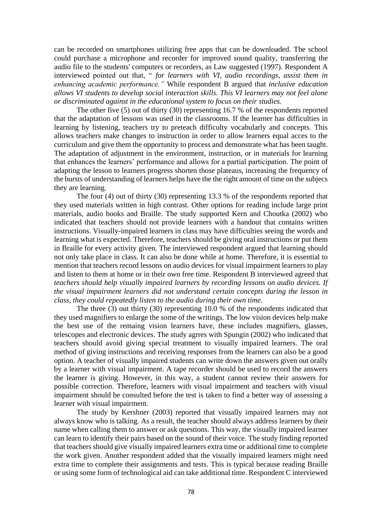can be recorded on smartphones utilizing free apps that can be downloaded. The school could purchase a microphone and recorder for improved sound quality, transferring the audio file to the students' computers or recorders, as Law suggested (1997). Respondent A interviewed pointed out that, " *for learners with VI, audio recordings, assist them in enhancing academic performance."* While respondent B argued that *inclusive education allows VI students to develop social interaction skills. This VI learners may not feel alone or discriminated against in the educational system to focus on their studies.*

The other five (5) out of thirty (30) representing 16.7 % of the respondents reported that the adaptation of lessons was used in the classrooms. If the learner has difficulties in learning by listening, teachers try to preteach difficulty vocabularly and concepts. This allows teachers make changes to instruction in order to allow learners equal acces to the curriculum and give them the opportunity to process and demonstrate what has been taught. The adaptation of adjustment in the environment, instruction, or in materials for learning that enhances the learners' performance and allows for a partial participation. The point of adapting the lesson to learners progress shorten those plateaus, increasing the frequency of the bursts of understanding of learners helps have the the right amount of time on the subjecs they are learning.

 The four (4) out of thirty (30) representing 13.3 % of the respondents reported that they used materials written in high contrast. Other options for reading include large print materials, audio books and Braille. The study supported Kern and Choutka (2002) who indicated that teachers should not provide learners with a handout that contains written instructions. Visually-impaired learners in class may have difficulties seeing the words and learning what is expected. Therefore, teachers should be giving oral instructions or put them in Braille for every activity given. The interviewed respondent argued that learning should not only take place in class. It can also be done while at home. Therefore, it is essential to mention that teachers record lessons on audio devices for visual impairment learners to play and listen to them at home or in their own free time. Respondent B interviewed agreed that *teachers should help visually impaired learners by recording lessons on audio devices. If the visual impairment learners did not understand certain concepts during the lesson in class, they could repeatedly listen to the audio during their own time.*

 The three (3) out thirty (30) representing 10.0 % of the respondents indicated that they used magnifiers to enlarge the some of the writings. The low vision devices help make the best use of the remaing vision learners have, these includes magnifiers, glasses, telescopes and electronic devices. The study agrres with Spungin (2002) who indicated that teachers should avoid giving special treatment to visually impaired learners. The oral method of giving instructions and receiving responses from the learners can also be a good option. A teacher of visually impaired students can write down the answers given out orally by a learner with visual impairment. A tape recorder should be used to record the answers the learner is giving. However, in this way, a student cannot review their answers for possible correction. Therefore, learners with visual impairment and teachers with visual impairment should be consulted before the test is taken to find a better way of assessing a learner with visual impairment.

 The study by Kershner (2003) reported that visually impaired learners may not always know who is talking. As a result, the teacher should always address learners by their name when calling them to answer or ask questions. This way, the visually impaired learner can learn to identify their pairs based on the sound of their voice. The study finding reported that teachers should give visually impaired learners extra time or additional time to complete the work given. Another respondent added that the visually impaired learners might need extra time to complete their assignments and tests. This is typical because reading Braille or using some form of technological aid can take additional time. Respondent C interviewed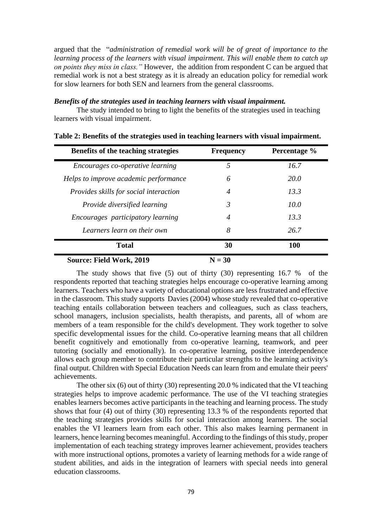argued that the "*administration of remedial work will be of great of importance to the learning process of the learners with visual impairment. This will enable them to catch up on points they miss in class."* However, the addition from respondent C can be argued that remedial work is not a best strategy as it is already an education policy for remedial work for slow learners for both SEN and learners from the general classrooms.

# *Benefits of the strategies used in teaching learners with visual impairment.*

The study intended to bring to light the benefits of the strategies used in teaching learners with visual impairment.

| Benefits of the teaching strategies           | <b>Frequency</b> | Percentage % |
|-----------------------------------------------|------------------|--------------|
| Encourages co-operative learning              | 5                | 16.7         |
| Helps to improve academic performance         | 6                | 20.0         |
| <i>Provides skills for social interaction</i> | 4                | 13.3         |
| <i>Provide diversified learning</i>           | 3                | 10.0         |
| <i>Encourages participatory learning</i>      | 4                | 13.3         |
| Learners learn on their own                   | 8                | 26.7         |
| <b>Total</b>                                  | 30               | 100          |
| <b>Source: Field Work, 2019</b>               | $N = 30$         |              |

|  | Table 2: Benefits of the strategies used in teaching learners with visual impairment. |  |  |  |  |
|--|---------------------------------------------------------------------------------------|--|--|--|--|
|  |                                                                                       |  |  |  |  |

The study shows that five (5) out of thirty (30) representing 16.7 % of the respondents reported that teaching strategies helps encourage co-operative learning among learners. Teachers who have a variety of educational options are less frustrated and effective in the classroom. This study supports Davies (2004) whose study revealed that co-operative teaching entails collaboration between teachers and colleagues, such as class teachers, school managers, inclusion specialists, health therapists, and parents, all of whom are members of a team responsible for the child's development. They work together to solve specific developmental issues for the child. Co-operative learning means that all children benefit cognitively and emotionally from co-operative learning, teamwork, and peer tutoring (socially and emotionally). In co-operative learning, positive interdependence allows each group member to contribute their particular strengths to the learning activity's final output. Children with Special Education Needs can learn from and emulate their peers' achievements.

 The other six (6) out of thirty (30) representing 20.0 % indicated that the VI teaching strategies helps to improve academic performance. The use of the VI teaching strategies enables learners becomes active participants in the teaching and learning process. The study shows that four (4) out of thirty (30) representing  $13.3 %$  of the respondents reported that the teaching strategies provides skills for social interaction among learners. The social enables the VI learners learn from each other. This also makes learning permanent in learners, hence learning becomes meaningful. According to the findings of this study, proper implementation of each teaching strategy improves learner achievement, provides teachers with more instructional options, promotes a variety of learning methods for a wide range of student abilities, and aids in the integration of learners with special needs into general education classrooms.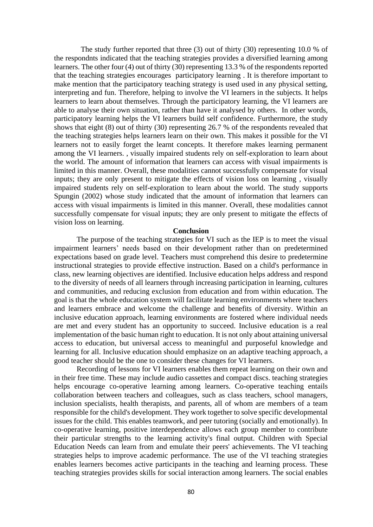The study further reported that three (3) out of thirty (30) representing 10.0 % of the respondnts indicated that the teaching strategies provides a diversified learning among learners. The other four (4) out of thirty (30) representing 13.3 % of the respondents reported that the teaching strategies encourages participatory learning . It is therefore important to make mention that the participatory teaching strategy is used used in any physical setting, interpreting and fun. Therefore, helping to involve the VI learners in the subjects. It helps learners to learn about themselves. Through the participatory learning, the VI learners are able to analyse their own situation, rather than have it analysed by others. In other words, participatory learning helps the VI learners build self confidence. Furthermore, the study shows that eight (8) out of thirty (30) representing 26.7 % of the respondents revealed that the teaching strategies helps learners learn on their own. This makes it possible for the VI learners not to easily forget the learnt concepts. It therefore makes learning permanent among the VI learners. , visually impaired students rely on self-exploration to learn about the world. The amount of information that learners can access with visual impairments is limited in this manner. Overall, these modalities cannot successfully compensate for visual inputs; they are only present to mitigate the effects of vision loss on learning , visually impaired students rely on self-exploration to learn about the world. The study supports Spungin (2002) whose study indicated that the amount of information that learners can access with visual impairments is limited in this manner. Overall, these modalities cannot successfully compensate for visual inputs; they are only present to mitigate the effects of vision loss on learning.

# **Conclusion**

The purpose of the teaching strategies for VI such as the IEP is to meet the visual impairment learners' needs based on their development rather than on predetermined expectations based on grade level. Teachers must comprehend this desire to predetermine instructional strategies to provide effective instruction. Based on a child's performance in class, new learning objectives are identified. Inclusive education helps address and respond to the diversity of needs of all learners through increasing participation in learning, cultures and communities, and reducing exclusion from education and from within education. The goal is that the whole education system will facilitate learning environments where teachers and learners embrace and welcome the challenge and benefits of diversity. Within an inclusive education approach, learning environments are fostered where individual needs are met and every student has an opportunity to succeed. Inclusive education is a real implementation of the basic human right to education. It is not only about attaining universal access to education, but universal access to meaningful and purposeful knowledge and learning for all. Inclusive education should emphasize on an adaptive teaching approach, a good teacher should be the one to consider these changes for VI learners.

 Recording of lessons for VI learners enables them repeat learning on their own and in their free time. These may include audio cassettes and compact discs. teaching strategies helps encourage co-operative learning among learners. Co-operative teaching entails collaboration between teachers and colleagues, such as class teachers, school managers, inclusion specialists, health therapists, and parents, all of whom are members of a team responsible for the child's development. They work together to solve specific developmental issues for the child. This enables teamwork, and peer tutoring (socially and emotionally). In co-operative learning, positive interdependence allows each group member to contribute their particular strengths to the learning activity's final output. Children with Special Education Needs can learn from and emulate their peers' achievements. The VI teaching strategies helps to improve academic performance. The use of the VI teaching strategies enables learners becomes active participants in the teaching and learning process. These teaching strategies provides skills for social interaction among learners. The social enables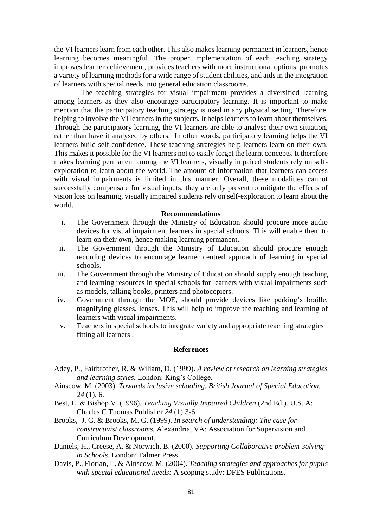the VI learners learn from each other. This also makes learning permanent in learners, hence learning becomes meaningful. The proper implementation of each teaching strategy improves learner achievement, provides teachers with more instructional options, promotes a variety of learning methods for a wide range of student abilities, and aids in the integration of learners with special needs into general education classrooms.

 The teaching strategies for visual impairment provides a diversified learning among learners as they also encourage participatory learning. It is important to make mention that the participatory teaching strategy is used in any physical setting. Therefore, helping to involve the VI learners in the subjects. It helps learners to learn about themselves. Through the participatory learning, the VI learners are able to analyse their own situation, rather than have it analysed by others. In other words, participatory learning helps the VI learners build self confidence. These teaching strategies help learners learn on their own. This makes it possible for the VI learners not to easily forget the learnt concepts. It therefore makes learning permanent among the VI learners, visually impaired students rely on selfexploration to learn about the world. The amount of information that learners can access with visual impairments is limited in this manner. Overall, these modalities cannot successfully compensate for visual inputs; they are only present to mitigate the effects of vision loss on learning, visually impaired students rely on self-exploration to learn about the world.

#### **Recommendations**

- i. The Government through the Ministry of Education should procure more audio devices for visual impairment learners in special schools. This will enable them to learn on their own, hence making learning permanent.
- ii. The Government through the Ministry of Education should procure enough recording devices to encourage learner centred approach of learning in special schools.
- iii. The Government through the Ministry of Education should supply enough teaching and learning resources in special schools for learners with visual impairments such as models, talking books, printers and photocopiers.
- iv. Government through the MOE, should provide devices like perking's braille, magnifying glasses, lenses. This will help to improve the teaching and learning of learners with visual impairments.
- v. Teachers in special schools to integrate variety and appropriate teaching strategies fitting all learners .

### **References**

- Adey, P., Fairbrother, R. & Wiliam, D. (1999). *A review of research on learning strategies and learning styles.* London: King's College.
- Ainscow, M. (2003). *Towards inclusive schooling. British Journal of Special Education. 24* (1), 6.
- Best, L. & Bishop V. (1996). *Teaching Visually Impaired Children* (2nd Ed.). U.S. A: Charles C Thomas Publisher *24* (1):3-6.
- Brooks, J. G. & Brooks, M. G. (1999). *In search of understanding: The case for constructivist classrooms.* Alexandria, VA: Association for Supervision and Curriculum Development.
- Daniels, H., Creese, A. & Norwich, B. (2000). *Supporting Collaborative problem-solving in Schools*. London: Falmer Press.
- Davis, P., Florian, L. & Ainscow, M. (2004). *Teaching strategies and approaches for pupils with special educational needs:* A scoping study: DFES Publications.